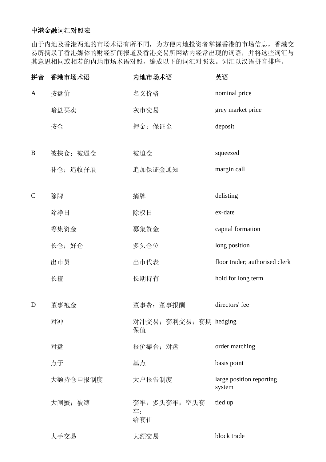## 中港金融词汇对照表

由于内地及香港两地的市场术语有所不同,为方便内地投资者掌握香港的市场信息,香港交 易所摘录了香港媒体的财经新闻报道及香港交易所网站内经常出现的词语,并将这些词汇与 其意思相同或相若的内地市场术语对照,编成以下的词汇对照表。词汇以汉语拼音排序。

| 拼音            | 香港市场术语   | 内地市场术语                       | 英语                                 |
|---------------|----------|------------------------------|------------------------------------|
| A             | 按盘价      | 名义价格                         | nominal price                      |
|               | 暗盘买卖     | 灰市交易                         | grey market price                  |
|               | 按金       | 押金; 保证金                      | deposit                            |
|               |          |                              |                                    |
| B             | 被挟仓; 被逼仓 | 被迫仓                          | squeezed                           |
|               | 补仓; 追收孖展 | 追加保证金通知                      | margin call                        |
| $\mathcal{C}$ | 除牌       | 摘牌                           | delisting                          |
|               | 除净日      | 除权日                          | ex-date                            |
|               | 筹集资金     | 募集资金                         | capital formation                  |
|               | 长仓;好仓    | 多头仓位                         | long position                      |
|               | 出市员      | 出市代表                         | floor trader; authorised clerk     |
|               | 长揸       | 长期持有                         | hold for long term                 |
| D             | 董事袍金     | 董事费;董事报酬                     | directors' fee                     |
|               | 对冲       | 对冲交易; 套利交易; 套期 hedging<br>保值 |                                    |
|               | 对盘       | 报价撮合; 对盘                     | order matching                     |
|               | 点子       | 基点                           | basis point                        |
|               | 大额持仓申报制度 | 大户报告制度                       | large position reporting<br>system |
|               | 大闸蟹;被缚   | 套牢; 多头套牢; 空头套<br>牢;<br>给套住   | tied up                            |
|               | 大手交易     | 大额交易                         | block trade                        |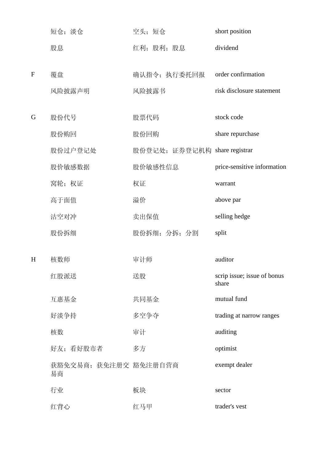|   | 短仓; 淡仓                      | 空头;短仓                         | short position                       |
|---|-----------------------------|-------------------------------|--------------------------------------|
|   | 股息                          | 红利; 股利; 股息                    | dividend                             |
| F | 覆盘                          | 确认指令; 执行委托回报                  | order confirmation                   |
|   | 风险披露声明                      | 风险披露书                         | risk disclosure statement            |
| G | 股份代号                        | 股票代码                          | stock code                           |
|   | 股份购回                        | 股份回购                          | share repurchase                     |
|   | 股份过户登记处                     | 股份登记处; 证券登记机构 share registrar |                                      |
|   | 股价敏感数据                      | 股价敏感性信息                       | price-sensitive information          |
|   | 窝轮; 权证                      | 权证                            | warrant                              |
|   | 高于面值                        | 溢价                            | above par                            |
|   | 沽空对冲                        | 卖出保值                          | selling hedge                        |
|   | 股份拆细                        | 股份拆细; 分拆; 分割                  | split                                |
| H | 核数师                         | 审计师                           | auditor                              |
|   |                             |                               |                                      |
|   | 红股派送                        | 送股                            | scrip issue; issue of bonus<br>share |
|   | 互惠基金                        | 共同基金                          | mutual fund                          |
|   | 好淡争持                        | 多空争夺                          | trading at narrow ranges             |
|   | 核数                          | 审计                            | auditing                             |
|   | 好友;看好股市者                    | 多方                            | optimist                             |
|   | 获豁免交易商; 获免注册交 豁免注册自营商<br>易商 |                               | exempt dealer                        |
|   | 行业                          | 板块                            | sector                               |
|   | 红背心                         | 红马甲                           | trader's vest                        |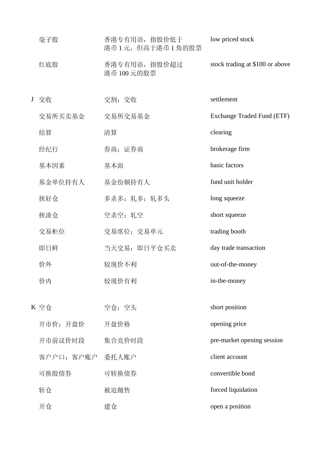|                 | 毫子股              | 香港专有用语, 指股价低于<br>港币1元,但高于港币1角的股票 | low priced stock                |
|-----------------|------------------|----------------------------------|---------------------------------|
|                 | 红底股              | 香港专有用语, 指股价超过<br>港币 100元的股票      | stock trading at \$100 or above |
| $J_{\parallel}$ | 交收               | 交割;交收                            | settlement                      |
|                 | 交易所买卖基金          | 交易所交易基金                          | Exchange Traded Fund (ETF)      |
|                 | 结算               | 清算                               | clearing                        |
|                 | 经纪行              | 券商; 证券商                          | brokerage firm                  |
|                 | 基本因素             | 基本面                              | basic factors                   |
|                 | 基金单位持有人          | 基金份额持有人                          | fund unit holder                |
|                 | 挟好仓              | 多杀多; 轧多; 轧多头                     | long squeeze                    |
|                 | 挟淡仓              | 空杀空; 轧空                          | short squeeze                   |
|                 | 交易柜位             | 交易席位; 交易单元                       | trading booth                   |
|                 | 即日鲜              | 当天交易; 即日平仓买卖                     | day trade transaction           |
|                 | 价外               | 较现价不利                            | out-of-the-money                |
|                 | 价内               | 较现价有利                            | in-the-money                    |
|                 |                  |                                  |                                 |
|                 | K 空仓             | 空仓;空头                            | short position                  |
|                 | 开市价; 开盘价         | 开盘价格                             | opening price                   |
|                 | 开市前议价时段          | 集合竞价时段                           | pre-market opening session      |
|                 | 客户户口; 客户账户 委托人账户 |                                  | client account                  |
|                 | 可换股债券            | 可转换债券                            | convertible bond                |
|                 | 斩仓               | 被迫抛售                             | forced liquidation              |
|                 | 开仓               | 建仓                               | open a position                 |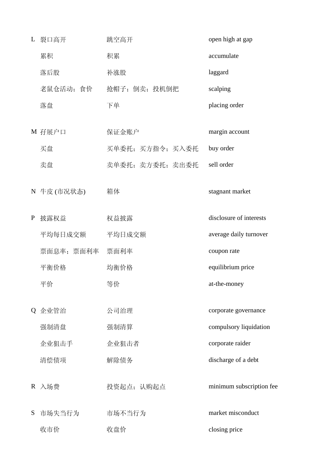L 裂口高开 跳空高开 open high at gap **累积 积累 accumulate**  落后股 补涨股 laggard 老鼠仓活动;食价 抢帽子;倒卖;投机倒把 scalping **落盘 下单 placing order** M 孖展户口 保证金账户 margin account 买盘 买单委托;买方指令;买入委托 buy order 卖盘 对某人主义的要求,实方委托;卖出委托 sell order N 牛皮 (市况状态) 箱体 stagnant market P 披露权益 权益披露 disclosure of interests 平均每日成交额 平均日成交额 average daily turnover 票面息率;票面利率 票面利率 coupon rate 平衡价格 均衡价格 equilibrium price 平价 等价 at-the-money Q 企业管治 公司治理 corporate governance 强制清盘 强制清算 compulsory liquidation 企业狙击手 企业狙击者 corporate raider 清偿债项 解除债务 discharge of a debt R 入场费 投资起点;认购起点 minimum subscription fee S 市场失当行为 市场不当行为 market misconduct 收市价 收盘价 closing price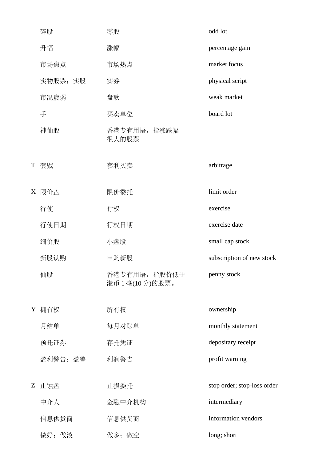|   | 碎股       | 零股                             | odd lot                     |
|---|----------|--------------------------------|-----------------------------|
|   | 升幅       | 涨幅                             | percentage gain             |
|   | 市场焦点     | 市场热点                           | market focus                |
|   | 实物股票;实股  | 实券                             | physical script             |
|   | 市况疲弱     | 盘软                             | weak market                 |
|   | 手        | 买卖单位                           | board lot                   |
|   | 神仙股      | 香港专有用语, 指涨跌幅<br>很大的股票          |                             |
| T | 套戥       | 套利买卖                           | arbitrage                   |
| X | 限价盘      | 限价委托                           | limit order                 |
|   | 行使       | 行权                             | exercise                    |
|   | 行使日期     | 行权日期                           | exercise date               |
|   | 细价股      | 小盘股                            | small cap stock             |
|   | 新股认购     | 申购新股                           | subscription of new stock   |
|   | 仙股       | 香港专有用语, 指股价低于<br>港币1毫(10分)的股票。 | penny stock                 |
| Y | 拥有权      | 所有权                            | ownership                   |
|   | 月结单      | 每月对账单                          | monthly statement           |
|   | 预托证券     | 存托凭证                           | depositary receipt          |
|   | 盈利警告; 盈警 | 利润警告                           | profit warning              |
| Z | 止蚀盘      | 止损委托                           | stop order; stop-loss order |
|   | 中介人      | 金融中介机构                         | intermediary                |
|   | 信息供货商    | 信息供货商                          | information vendors         |
|   | 做好; 做淡   | 做多; 做空                         | long; short                 |